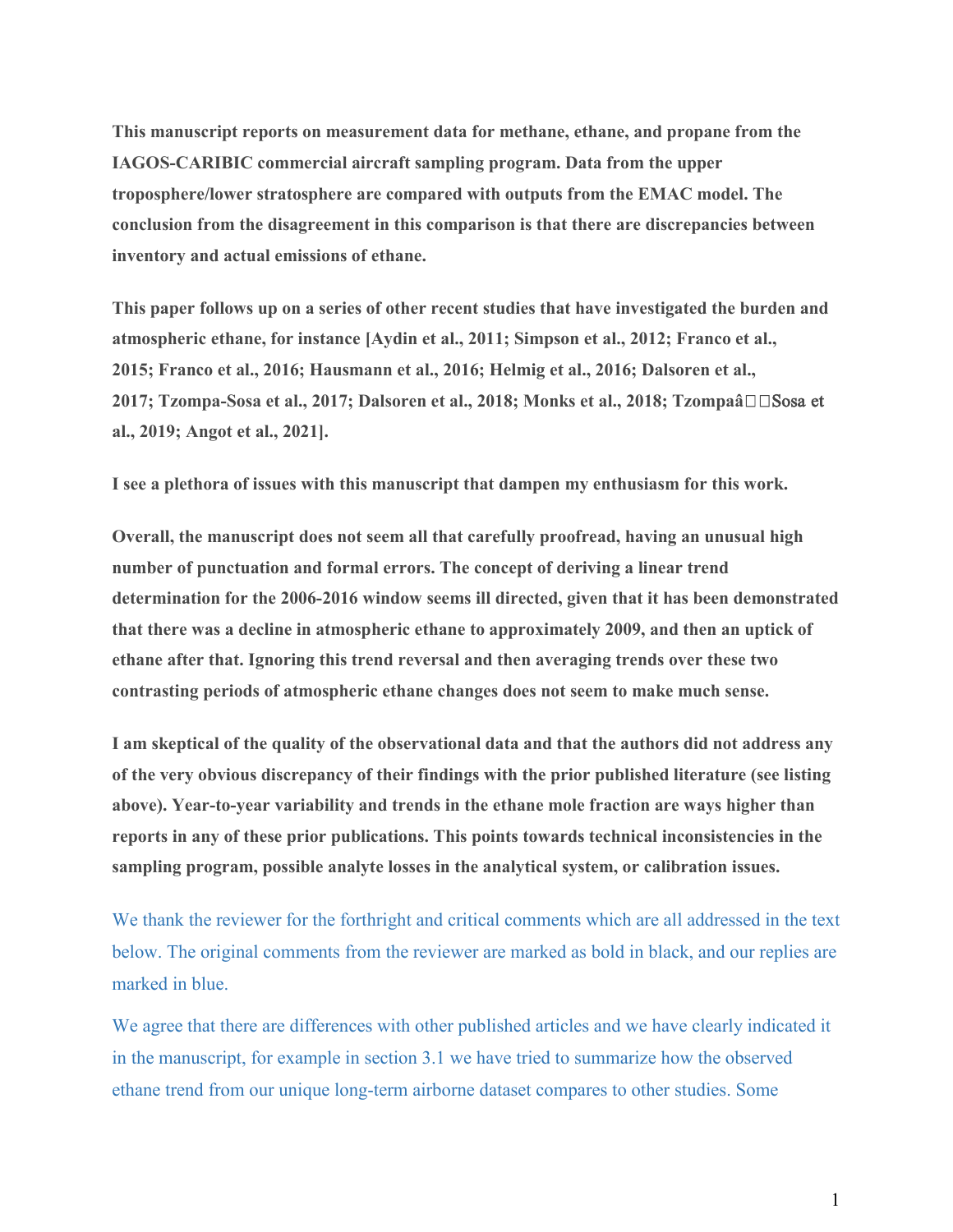**This manuscript reports on measurement data for methane, ethane, and propane from the IAGOS-CARIBIC commercial aircraft sampling program. Data from the upper troposphere/lower stratosphere are compared with outputs from the EMAC model. The conclusion from the disagreement in this comparison is that there are discrepancies between inventory and actual emissions of ethane.**

**This paper follows up on a series of other recent studies that have investigated the burden and atmospheric ethane, for instance [Aydin et al., 2011; Simpson et al., 2012; Franco et al., 2015; Franco et al., 2016; Hausmann et al., 2016; Helmig et al., 2016; Dalsoren et al., 2017; Tzompa-Sosa et al., 2017; Dalsoren et al., 2018; Monks et al., 2018; Tzompaâ□□Sosa et al., 2019; Angot et al., 2021].**

**I see a plethora of issues with this manuscript that dampen my enthusiasm for this work.**

**Overall, the manuscript does not seem all that carefully proofread, having an unusual high number of punctuation and formal errors. The concept of deriving a linear trend determination for the 2006-2016 window seems ill directed, given that it has been demonstrated that there was a decline in atmospheric ethane to approximately 2009, and then an uptick of ethane after that. Ignoring this trend reversal and then averaging trends over these two contrasting periods of atmospheric ethane changes does not seem to make much sense.**

**I am skeptical of the quality of the observational data and that the authors did not address any of the very obvious discrepancy of their findings with the prior published literature (see listing above). Year-to-year variability and trends in the ethane mole fraction are ways higher than reports in any of these prior publications. This points towards technical inconsistencies in the sampling program, possible analyte losses in the analytical system, or calibration issues.**

We thank the reviewer for the forthright and critical comments which are all addressed in the text below. The original comments from the reviewer are marked as bold in black, and our replies are marked in blue.

We agree that there are differences with other published articles and we have clearly indicated it in the manuscript, for example in section 3.1 we have tried to summarize how the observed ethane trend from our unique long-term airborne dataset compares to other studies. Some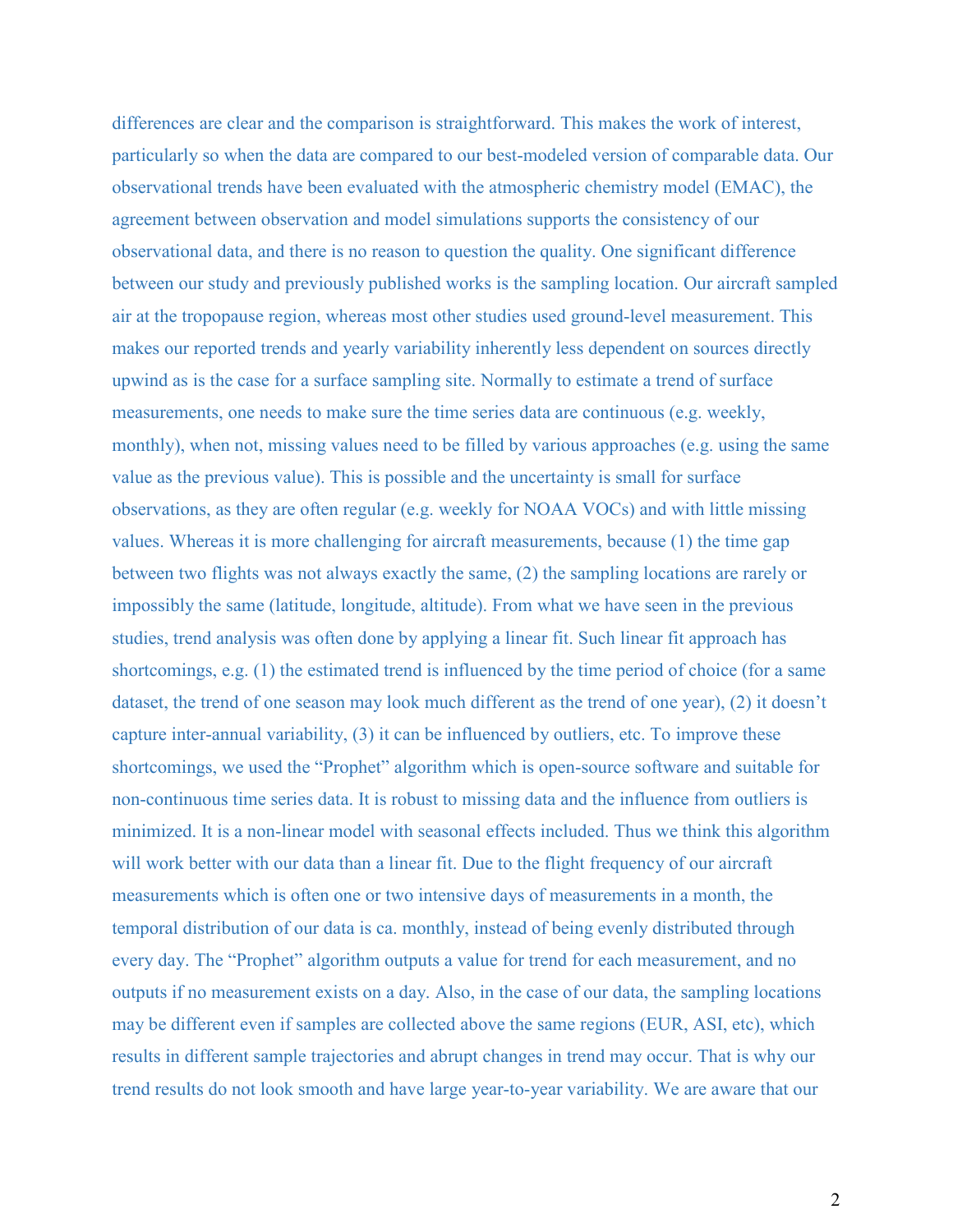differences are clear and the comparison is straightforward. This makes the work of interest, particularly so when the data are compared to our best-modeled version of comparable data. Our observational trends have been evaluated with the atmospheric chemistry model (EMAC), the agreement between observation and model simulations supports the consistency of our observational data, and there is no reason to question the quality. One significant difference between our study and previously published works is the sampling location. Our aircraft sampled air at the tropopause region, whereas most other studies used ground-level measurement. This makes our reported trends and yearly variability inherently less dependent on sources directly upwind as is the case for a surface sampling site. Normally to estimate a trend of surface measurements, one needs to make sure the time series data are continuous (e.g. weekly, monthly), when not, missing values need to be filled by various approaches (e.g. using the same value as the previous value). This is possible and the uncertainty is small for surface observations, as they are often regular (e.g. weekly for NOAA VOCs) and with little missing values. Whereas it is more challenging for aircraft measurements, because (1) the time gap between two flights was not always exactly the same, (2) the sampling locations are rarely or impossibly the same (latitude, longitude, altitude). From what we have seen in the previous studies, trend analysis was often done by applying a linear fit. Such linear fit approach has shortcomings, e.g. (1) the estimated trend is influenced by the time period of choice (for a same dataset, the trend of one season may look much different as the trend of one year), (2) it doesn't capture inter-annual variability, (3) it can be influenced by outliers, etc. To improve these shortcomings, we used the "Prophet" algorithm which is open-source software and suitable for non-continuous time series data. It is robust to missing data and the influence from outliers is minimized. It is a non-linear model with seasonal effects included. Thus we think this algorithm will work better with our data than a linear fit. Due to the flight frequency of our aircraft measurements which is often one or two intensive days of measurements in a month, the temporal distribution of our data is ca. monthly, instead of being evenly distributed through every day. The "Prophet" algorithm outputs a value for trend for each measurement, and no outputs if no measurement exists on a day. Also, in the case of our data, the sampling locations may be different even if samples are collected above the same regions (EUR, ASI, etc), which results in different sample trajectories and abrupt changes in trend may occur. That is why our trend results do not look smooth and have large year-to-year variability. We are aware that our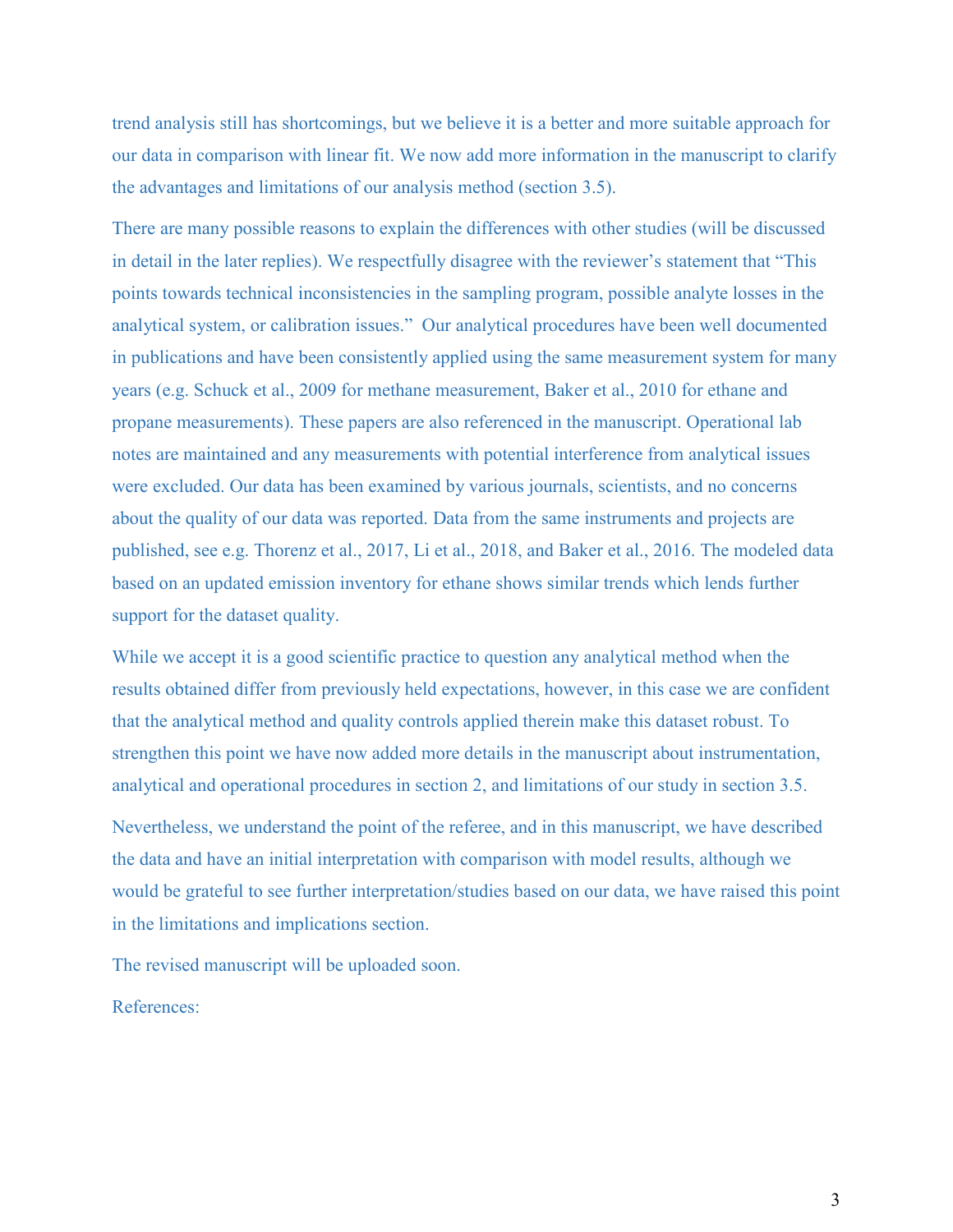trend analysis still has shortcomings, but we believe it is a better and more suitable approach for our data in comparison with linear fit. We now add more information in the manuscript to clarify the advantages and limitations of our analysis method (section 3.5).

There are many possible reasons to explain the differences with other studies (will be discussed in detail in the later replies). We respectfully disagree with the reviewer's statement that "This points towards technical inconsistencies in the sampling program, possible analyte losses in the analytical system, or calibration issues." Our analytical procedures have been well documented in publications and have been consistently applied using the same measurement system for many years (e.g. Schuck et al., 2009 for methane measurement, Baker et al., 2010 for ethane and propane measurements). These papers are also referenced in the manuscript. Operational lab notes are maintained and any measurements with potential interference from analytical issues were excluded. Our data has been examined by various journals, scientists, and no concerns about the quality of our data was reported. Data from the same instruments and projects are published, see e.g. Thorenz et al., 2017, Li et al., 2018, and Baker et al., 2016. The modeled data based on an updated emission inventory for ethane shows similar trends which lends further support for the dataset quality.

While we accept it is a good scientific practice to question any analytical method when the results obtained differ from previously held expectations, however, in this case we are confident that the analytical method and quality controls applied therein make this dataset robust. To strengthen this point we have now added more details in the manuscript about instrumentation, analytical and operational procedures in section 2, and limitations of our study in section 3.5. Nevertheless, we understand the point of the referee, and in this manuscript, we have described the data and have an initial interpretation with comparison with model results, although we would be grateful to see further interpretation/studies based on our data, we have raised this point in the limitations and implications section.

The revised manuscript will be uploaded soon.

References: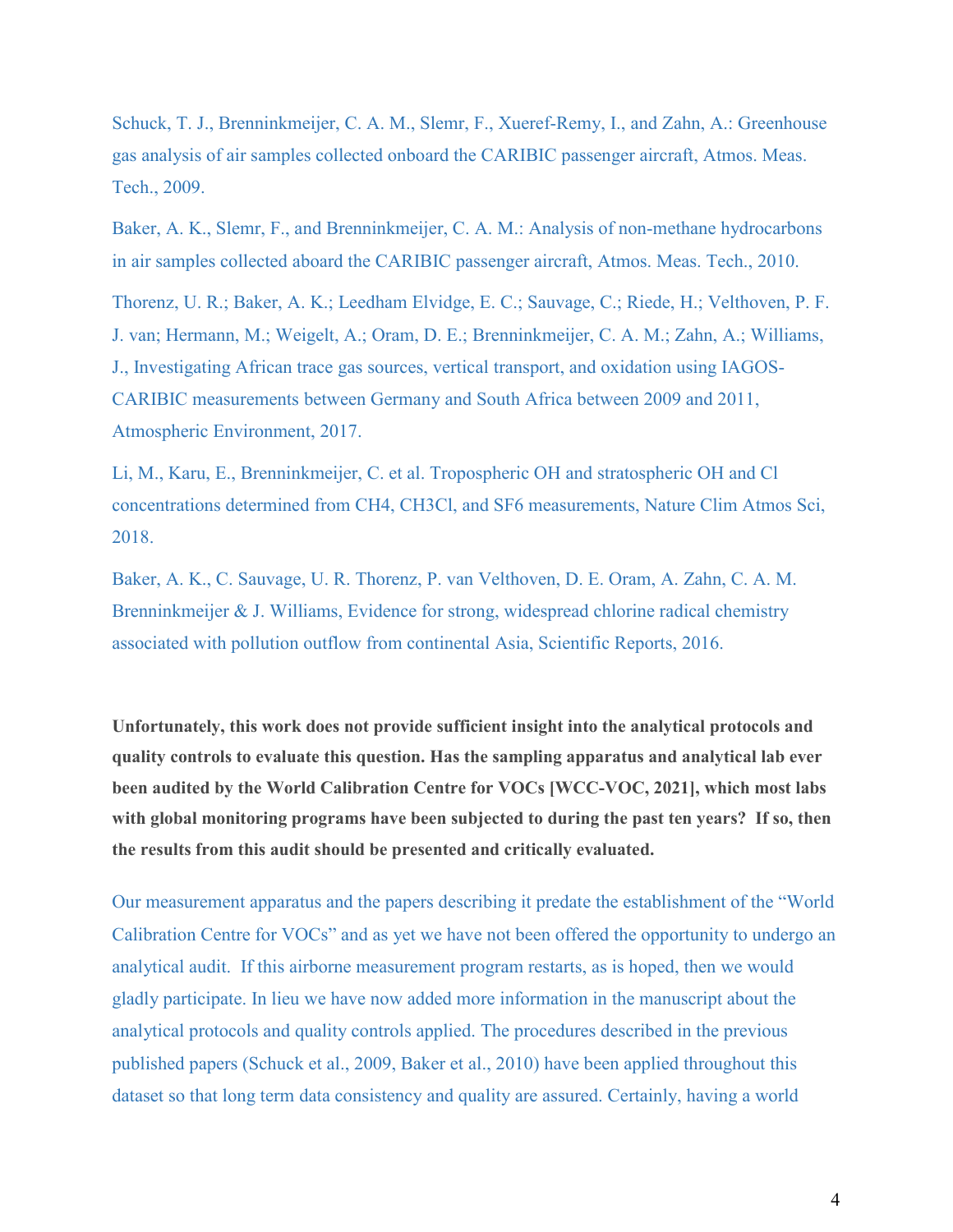Schuck, T. J., Brenninkmeijer, C. A. M., Slemr, F., Xueref-Remy, I., and Zahn, A.: Greenhouse gas analysis of air samples collected onboard the CARIBIC passenger aircraft, Atmos. Meas. Tech., 2009.

Baker, A. K., Slemr, F., and Brenninkmeijer, C. A. M.: Analysis of non-methane hydrocarbons in air samples collected aboard the CARIBIC passenger aircraft, Atmos. Meas. Tech., 2010.

Thorenz, U. R.; Baker, A. K.; Leedham Elvidge, E. C.; Sauvage, C.; Riede, H.; Velthoven, P. F. J. van; Hermann, M.; Weigelt, A.; Oram, D. E.; Brenninkmeijer, C. A. M.; Zahn, A.; Williams, J., Investigating African trace gas sources, vertical transport, and oxidation using IAGOS-CARIBIC measurements between Germany and South Africa between 2009 and 2011, Atmospheric Environment, 2017.

Li, M., Karu, E., Brenninkmeijer, C. et al. Tropospheric OH and stratospheric OH and Cl concentrations determined from CH4, CH3Cl, and SF6 measurements, Nature Clim Atmos Sci, 2018.

Baker, A. K., C. Sauvage, U. R. Thorenz, P. van Velthoven, D. E. Oram, A. Zahn, C. A. M. Brenninkmeijer & J. Williams, Evidence for strong, widespread chlorine radical chemistry associated with pollution outflow from continental Asia, Scientific Reports, 2016.

**Unfortunately, this work does not provide sufficient insight into the analytical protocols and quality controls to evaluate this question. Has the sampling apparatus and analytical lab ever been audited by the World Calibration Centre for VOCs [WCC-VOC, 2021], which most labs with global monitoring programs have been subjected to during the past ten years? If so, then the results from this audit should be presented and critically evaluated.**

Our measurement apparatus and the papers describing it predate the establishment of the "World Calibration Centre for VOCs" and as yet we have not been offered the opportunity to undergo an analytical audit. If this airborne measurement program restarts, as is hoped, then we would gladly participate. In lieu we have now added more information in the manuscript about the analytical protocols and quality controls applied. The procedures described in the previous published papers (Schuck et al., 2009, Baker et al., 2010) have been applied throughout this dataset so that long term data consistency and quality are assured. Certainly, having a world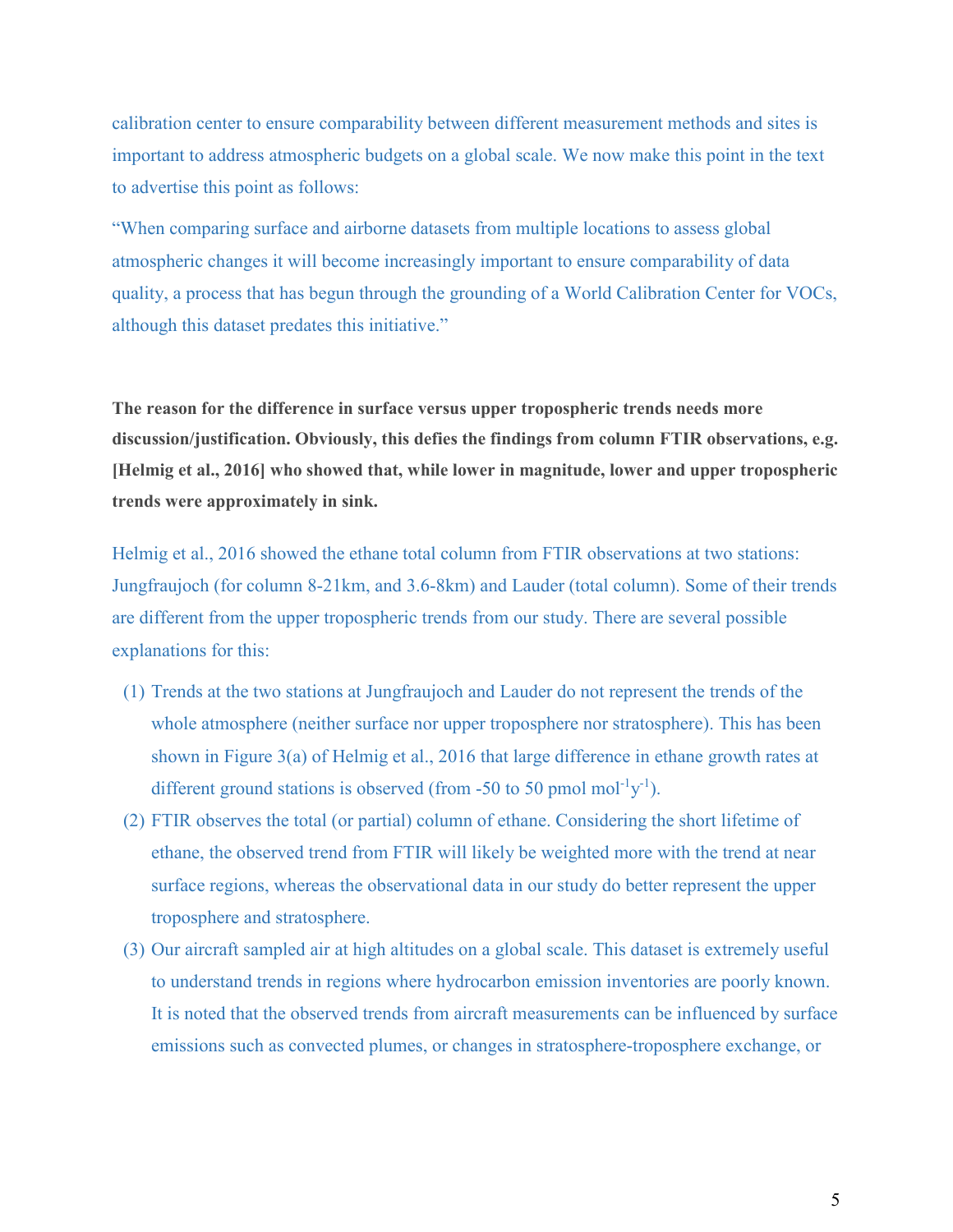calibration center to ensure comparability between different measurement methods and sites is important to address atmospheric budgets on a global scale. We now make this point in the text to advertise this point as follows:

"When comparing surface and airborne datasets from multiple locations to assess global atmospheric changes it will become increasingly important to ensure comparability of data quality, a process that has begun through the grounding of a World Calibration Center for VOCs, although this dataset predates this initiative."

**The reason for the difference in surface versus upper tropospheric trends needs more discussion/justification. Obviously, this defies the findings from column FTIR observations, e.g. [Helmig et al., 2016] who showed that, while lower in magnitude, lower and upper tropospheric trends were approximately in sink.**

Helmig et al., 2016 showed the ethane total column from FTIR observations at two stations: Jungfraujoch (for column 8-21km, and 3.6-8km) and Lauder (total column). Some of their trends are different from the upper tropospheric trends from our study. There are several possible explanations for this:

- (1) Trends at the two stations at Jungfraujoch and Lauder do not represent the trends of the whole atmosphere (neither surface nor upper troposphere nor stratosphere). This has been shown in Figure 3(a) of Helmig et al., 2016 that large difference in ethane growth rates at different ground stations is observed (from -50 to 50 pmol mol<sup>-1</sup>y<sup>-1</sup>).
- (2) FTIR observes the total (or partial) column of ethane. Considering the short lifetime of ethane, the observed trend from FTIR will likely be weighted more with the trend at near surface regions, whereas the observational data in our study do better represent the upper troposphere and stratosphere.
- (3) Our aircraft sampled air at high altitudes on a global scale. This dataset is extremely useful to understand trends in regions where hydrocarbon emission inventories are poorly known. It is noted that the observed trends from aircraft measurements can be influenced by surface emissions such as convected plumes, or changes in stratosphere-troposphere exchange, or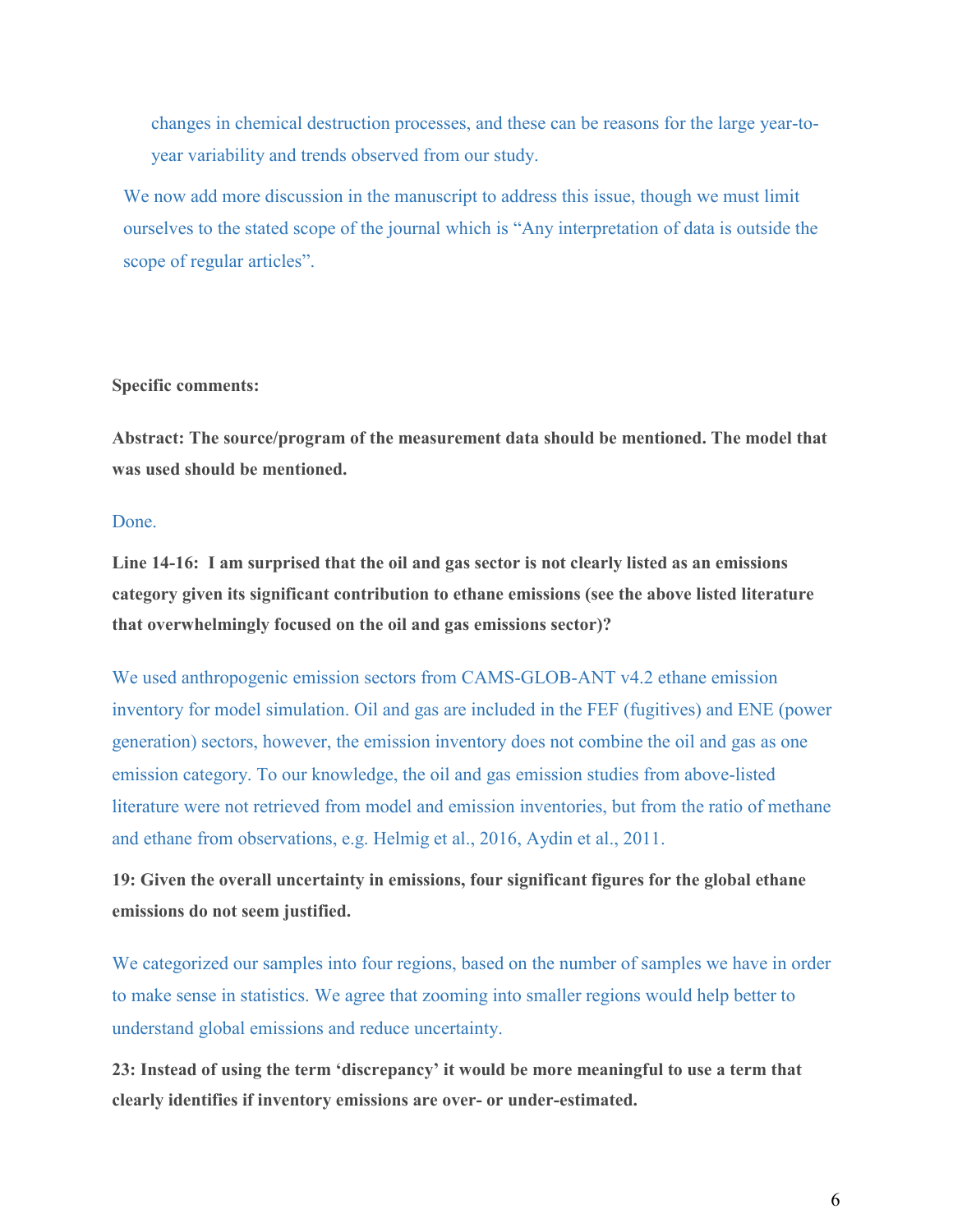changes in chemical destruction processes, and these can be reasons for the large year-toyear variability and trends observed from our study.

We now add more discussion in the manuscript to address this issue, though we must limit ourselves to the stated scope of the journal which is "Any interpretation of data is outside the scope of regular articles".

## **Specific comments:**

**Abstract: The source/program of the measurement data should be mentioned. The model that was used should be mentioned.**

## Done.

**Line 14-16: I am surprised that the oil and gas sector is not clearly listed as an emissions category given its significant contribution to ethane emissions (see the above listed literature that overwhelmingly focused on the oil and gas emissions sector)?**

We used anthropogenic emission sectors from CAMS-GLOB-ANT v4.2 ethane emission inventory for model simulation. Oil and gas are included in the FEF (fugitives) and ENE (power generation) sectors, however, the emission inventory does not combine the oil and gas as one emission category. To our knowledge, the oil and gas emission studies from above-listed literature were not retrieved from model and emission inventories, but from the ratio of methane and ethane from observations, e.g. Helmig et al., 2016, Aydin et al., 2011.

**19: Given the overall uncertainty in emissions, four significant figures for the global ethane emissions do not seem justified.**

We categorized our samples into four regions, based on the number of samples we have in order to make sense in statistics. We agree that zooming into smaller regions would help better to understand global emissions and reduce uncertainty.

**23: Instead of using the term 'discrepancy' it would be more meaningful to use a term that clearly identifies if inventory emissions are over- or under-estimated.**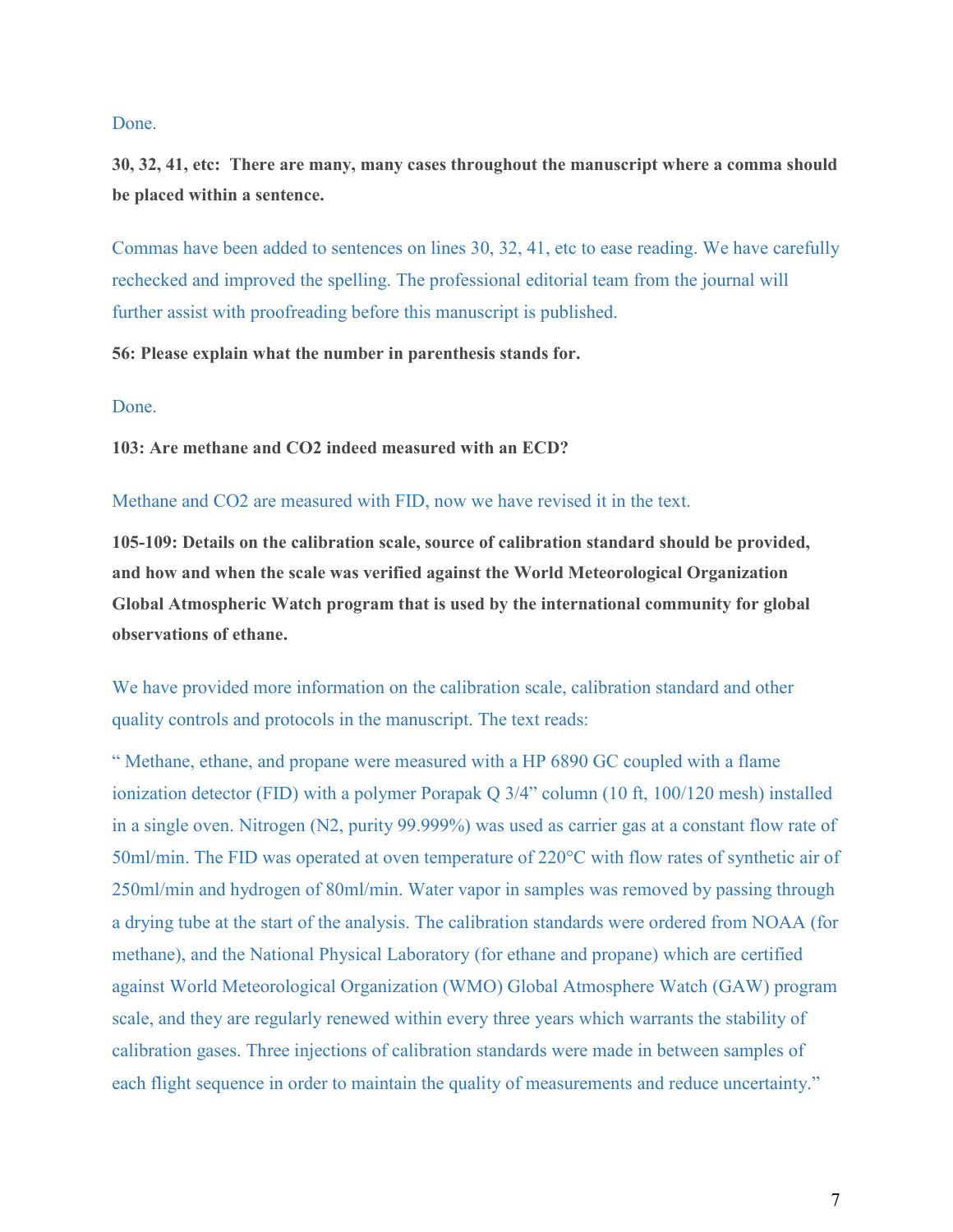## Done.

**30, 32, 41, etc: There are many, many cases throughout the manuscript where a comma should be placed within a sentence.**

Commas have been added to sentences on lines 30, 32, 41, etc to ease reading. We have carefully rechecked and improved the spelling. The professional editorial team from the journal will further assist with proofreading before this manuscript is published.

## **56: Please explain what the number in parenthesis stands for.**

## Done.

**103: Are methane and CO2 indeed measured with an ECD?**

## Methane and CO2 are measured with FID, now we have revised it in the text.

**105-109: Details on the calibration scale, source of calibration standard should be provided, and how and when the scale was verified against the World Meteorological Organization Global Atmospheric Watch program that is used by the international community for global observations of ethane.**

We have provided more information on the calibration scale, calibration standard and other quality controls and protocols in the manuscript. The text reads:

" Methane, ethane, and propane were measured with a HP 6890 GC coupled with a flame ionization detector (FID) with a polymer Porapak Q 3/4" column (10 ft, 100/120 mesh) installed in a single oven. Nitrogen (N2, purity 99.999%) was used as carrier gas at a constant flow rate of 50ml/min. The FID was operated at oven temperature of 220°C with flow rates of synthetic air of 250ml/min and hydrogen of 80ml/min. Water vapor in samples was removed by passing through a drying tube at the start of the analysis. The calibration standards were ordered from NOAA (for methane), and the National Physical Laboratory (for ethane and propane) which are certified against World Meteorological Organization (WMO) Global Atmosphere Watch (GAW) program scale, and they are regularly renewed within every three years which warrants the stability of calibration gases. Three injections of calibration standards were made in between samples of each flight sequence in order to maintain the quality of measurements and reduce uncertainty."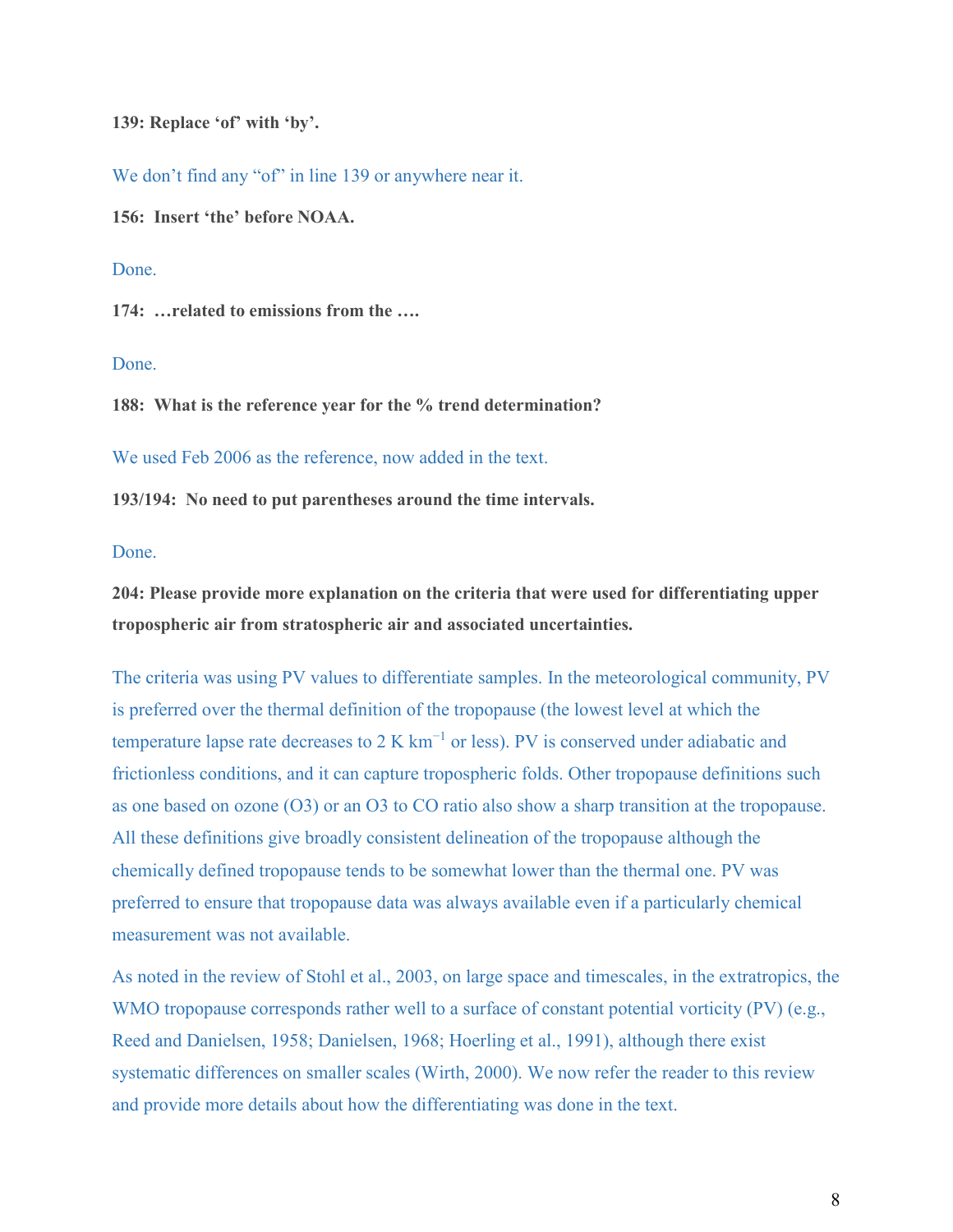**139: Replace 'of' with 'by'.**

We don't find any "of" in line 139 or anywhere near it.

**156: Insert 'the' before NOAA.**

Done.

**174: …related to emissions from the ….**

Done.

**188: What is the reference year for the % trend determination?**

We used Feb 2006 as the reference, now added in the text.

**193/194: No need to put parentheses around the time intervals.**

Done.

**204: Please provide more explanation on the criteria that were used for differentiating upper tropospheric air from stratospheric air and associated uncertainties.**

The criteria was using PV values to differentiate samples. In the meteorological community, PV is preferred over the thermal definition of the tropopause (the lowest level at which the temperature lapse rate decreases to 2 K  $km^{-1}$  or less). PV is conserved under adiabatic and frictionless conditions, and it can capture tropospheric folds. Other tropopause definitions such as one based on ozone (O3) or an O3 to CO ratio also show a sharp transition at the tropopause. All these definitions give broadly consistent delineation of the tropopause although the chemically defined tropopause tends to be somewhat lower than the thermal one. PV was preferred to ensure that tropopause data was always available even if a particularly chemical measurement was not available.

As noted in the review of Stohl et al., 2003, on large space and timescales, in the extratropics, the WMO tropopause corresponds rather well to a surface of constant potential vorticity (PV) (e.g., Reed and Danielsen, 1958; Danielsen, 1968; Hoerling et al., 1991), although there exist systematic differences on smaller scales (Wirth, 2000). We now refer the reader to this review and provide more details about how the differentiating was done in the text.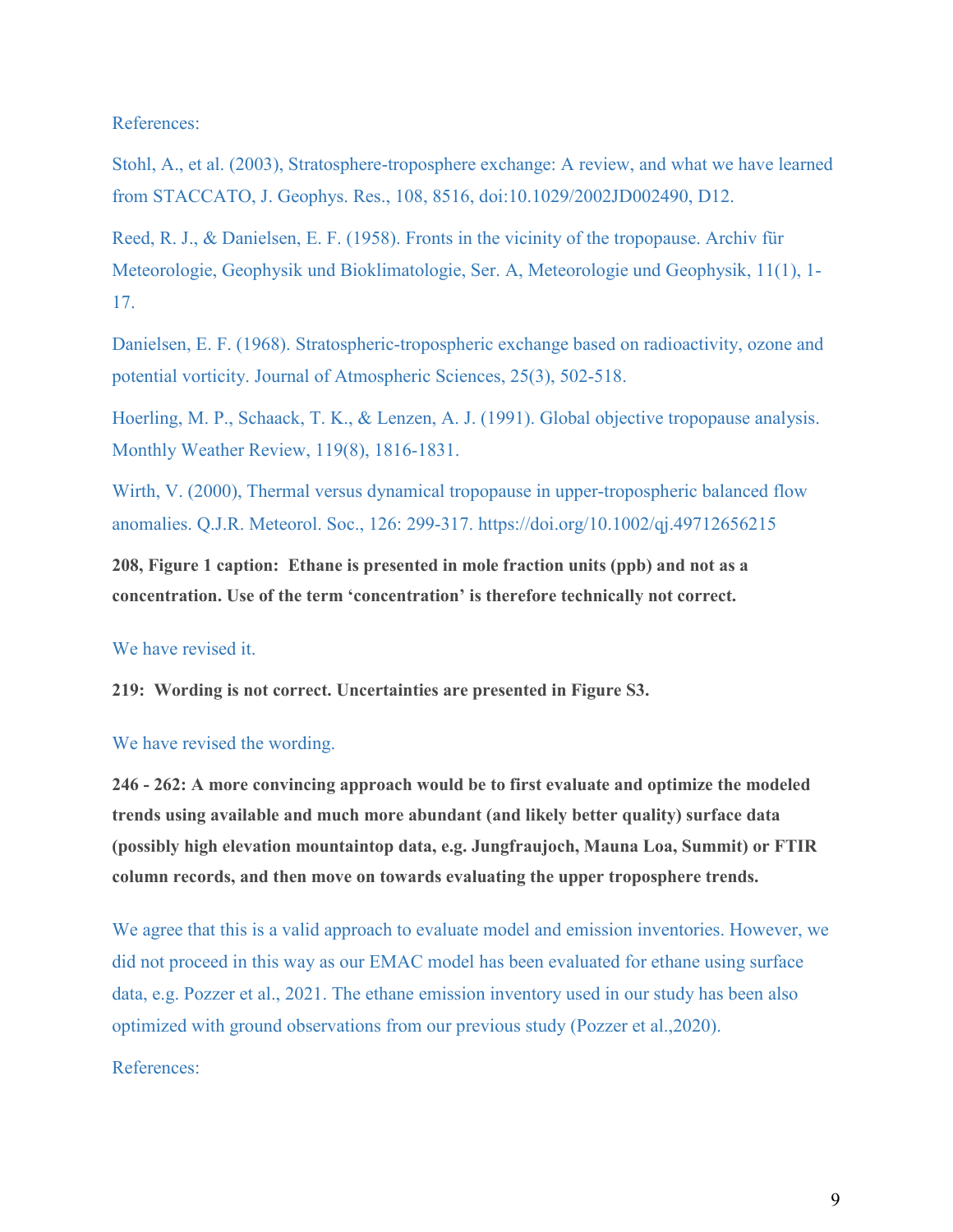References:

Stohl, A., et al. (2003), Stratosphere-troposphere exchange: A review, and what we have learned from STACCATO, J. Geophys. Res., 108, 8516, doi:10.1029/2002JD002490, D12.

Reed, R. J., & Danielsen, E. F. (1958). Fronts in the vicinity of the tropopause. Archiv für Meteorologie, Geophysik und Bioklimatologie, Ser. A, Meteorologie und Geophysik, 11(1), 1- 17.

Danielsen, E. F. (1968). Stratospheric-tropospheric exchange based on radioactivity, ozone and potential vorticity. Journal of Atmospheric Sciences, 25(3), 502-518.

Hoerling, M. P., Schaack, T. K., & Lenzen, A. J. (1991). Global objective tropopause analysis. Monthly Weather Review, 119(8), 1816-1831.

Wirth, V. (2000), Thermal versus dynamical tropopause in upper-tropospheric balanced flow anomalies. Q.J.R. Meteorol. Soc., 126: 299-317. https://doi.org/10.1002/qj.49712656215

**208, Figure 1 caption: Ethane is presented in mole fraction units (ppb) and not as a concentration. Use of the term 'concentration' is therefore technically not correct.**

## We have revised it.

**219: Wording is not correct. Uncertainties are presented in Figure S3.**

#### We have revised the wording.

**246 - 262: A more convincing approach would be to first evaluate and optimize the modeled trends using available and much more abundant (and likely better quality) surface data (possibly high elevation mountaintop data, e.g. Jungfraujoch, Mauna Loa, Summit) or FTIR column records, and then move on towards evaluating the upper troposphere trends.**

We agree that this is a valid approach to evaluate model and emission inventories. However, we did not proceed in this way as our EMAC model has been evaluated for ethane using surface data, e.g. Pozzer et al., 2021. The ethane emission inventory used in our study has been also optimized with ground observations from our previous study (Pozzer et al.,2020). References: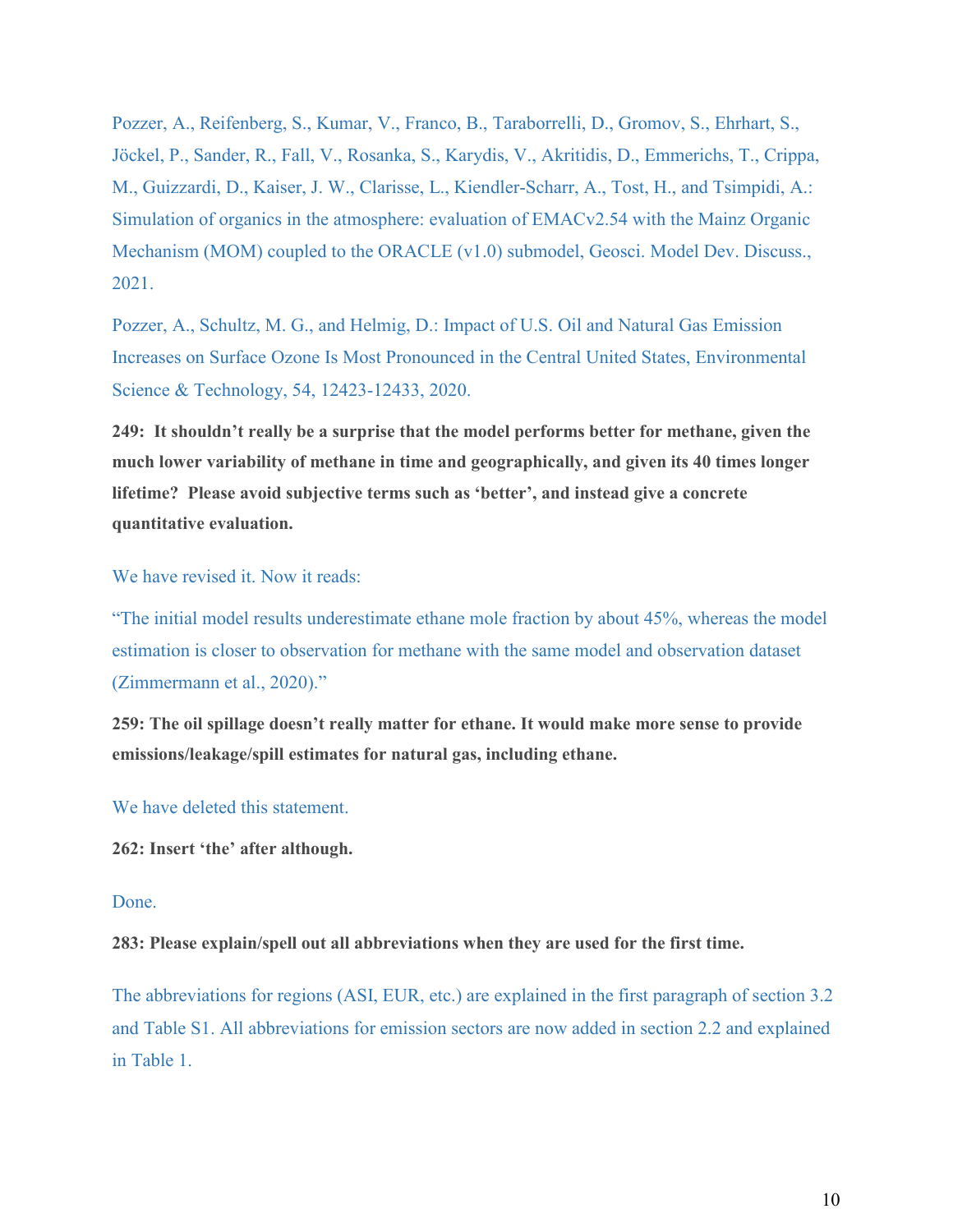Pozzer, A., Reifenberg, S., Kumar, V., Franco, B., Taraborrelli, D., Gromov, S., Ehrhart, S., Jöckel, P., Sander, R., Fall, V., Rosanka, S., Karydis, V., Akritidis, D., Emmerichs, T., Crippa, M., Guizzardi, D., Kaiser, J. W., Clarisse, L., Kiendler-Scharr, A., Tost, H., and Tsimpidi, A.: Simulation of organics in the atmosphere: evaluation of EMACv2.54 with the Mainz Organic Mechanism (MOM) coupled to the ORACLE (v1.0) submodel, Geosci. Model Dev. Discuss., 2021.

Pozzer, A., Schultz, M. G., and Helmig, D.: Impact of U.S. Oil and Natural Gas Emission Increases on Surface Ozone Is Most Pronounced in the Central United States, Environmental Science & Technology, 54, 12423-12433, 2020.

**249: It shouldn't really be a surprise that the model performs better for methane, given the much lower variability of methane in time and geographically, and given its 40 times longer lifetime? Please avoid subjective terms such as 'better', and instead give a concrete quantitative evaluation.**

We have revised it. Now it reads:

"The initial model results underestimate ethane mole fraction by about 45%, whereas the model estimation is closer to observation for methane with the same model and observation dataset (Zimmermann et al., 2020)."

**259: The oil spillage doesn't really matter for ethane. It would make more sense to provide emissions/leakage/spill estimates for natural gas, including ethane.**

We have deleted this statement.

**262: Insert 'the' after although.**

## Done.

**283: Please explain/spell out all abbreviations when they are used for the first time.**

The abbreviations for regions (ASI, EUR, etc.) are explained in the first paragraph of section 3.2 and Table S1. All abbreviations for emission sectors are now added in section 2.2 and explained in Table 1.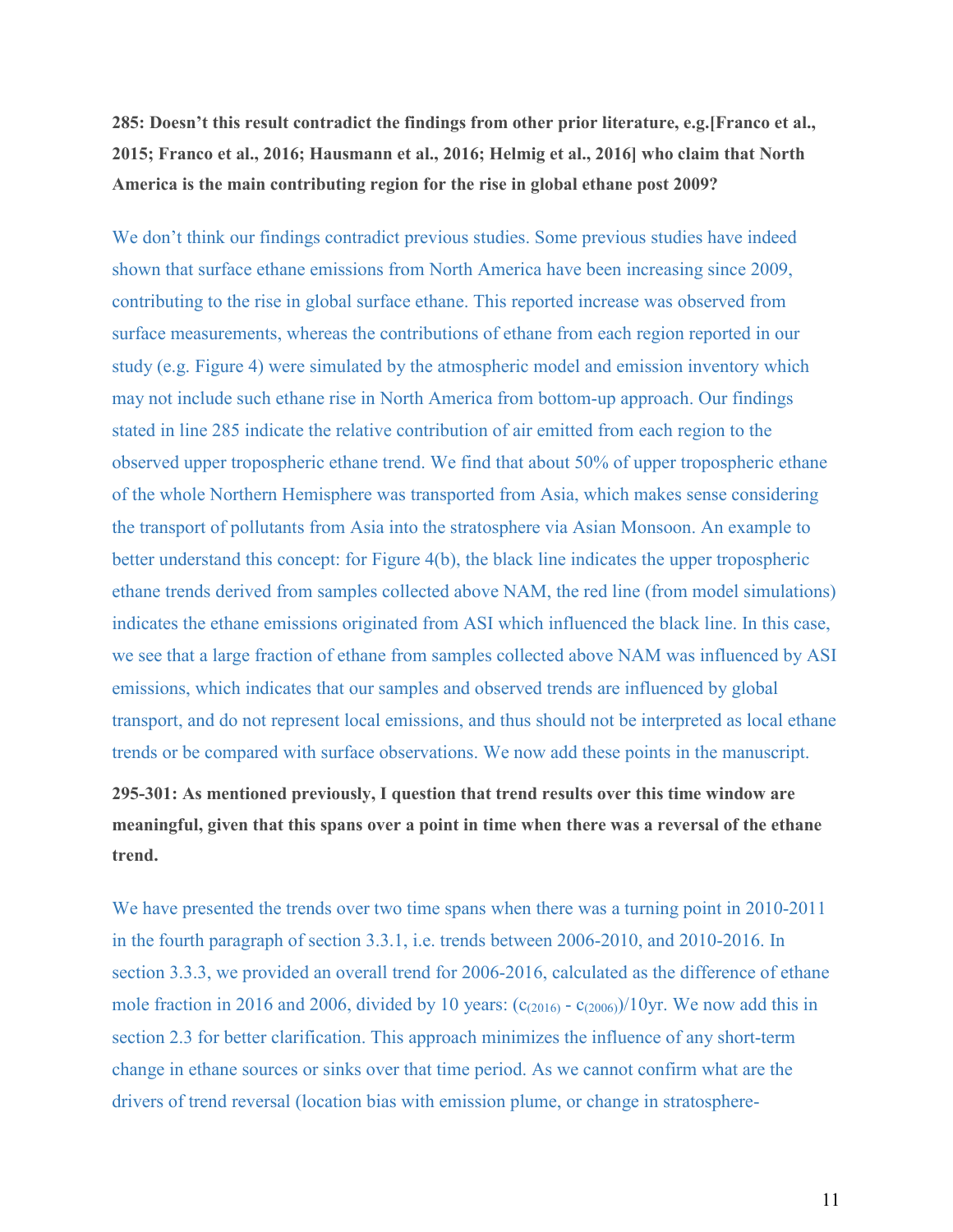**285: Doesn't this result contradict the findings from other prior literature, e.g.[Franco et al., 2015; Franco et al., 2016; Hausmann et al., 2016; Helmig et al., 2016] who claim that North America is the main contributing region for the rise in global ethane post 2009?**

We don't think our findings contradict previous studies. Some previous studies have indeed shown that surface ethane emissions from North America have been increasing since 2009, contributing to the rise in global surface ethane. This reported increase was observed from surface measurements, whereas the contributions of ethane from each region reported in our study (e.g. Figure 4) were simulated by the atmospheric model and emission inventory which may not include such ethane rise in North America from bottom-up approach. Our findings stated in line 285 indicate the relative contribution of air emitted from each region to the observed upper tropospheric ethane trend. We find that about 50% of upper tropospheric ethane of the whole Northern Hemisphere was transported from Asia, which makes sense considering the transport of pollutants from Asia into the stratosphere via Asian Monsoon. An example to better understand this concept: for Figure 4(b), the black line indicates the upper tropospheric ethane trends derived from samples collected above NAM, the red line (from model simulations) indicates the ethane emissions originated from ASI which influenced the black line. In this case, we see that a large fraction of ethane from samples collected above NAM was influenced by ASI emissions, which indicates that our samples and observed trends are influenced by global transport, and do not represent local emissions, and thus should not be interpreted as local ethane trends or be compared with surface observations. We now add these points in the manuscript.

**295-301: As mentioned previously, I question that trend results over this time window are meaningful, given that this spans over a point in time when there was a reversal of the ethane trend.**

We have presented the trends over two time spans when there was a turning point in 2010-2011 in the fourth paragraph of section 3.3.1, i.e. trends between 2006-2010, and 2010-2016. In section 3.3.3, we provided an overall trend for 2006-2016, calculated as the difference of ethane mole fraction in 2016 and 2006, divided by 10 years:  $(c_{(2016)} - c_{(2006)})/10$ yr. We now add this in section 2.3 for better clarification. This approach minimizes the influence of any short-term change in ethane sources or sinks over that time period. As we cannot confirm what are the drivers of trend reversal (location bias with emission plume, or change in stratosphere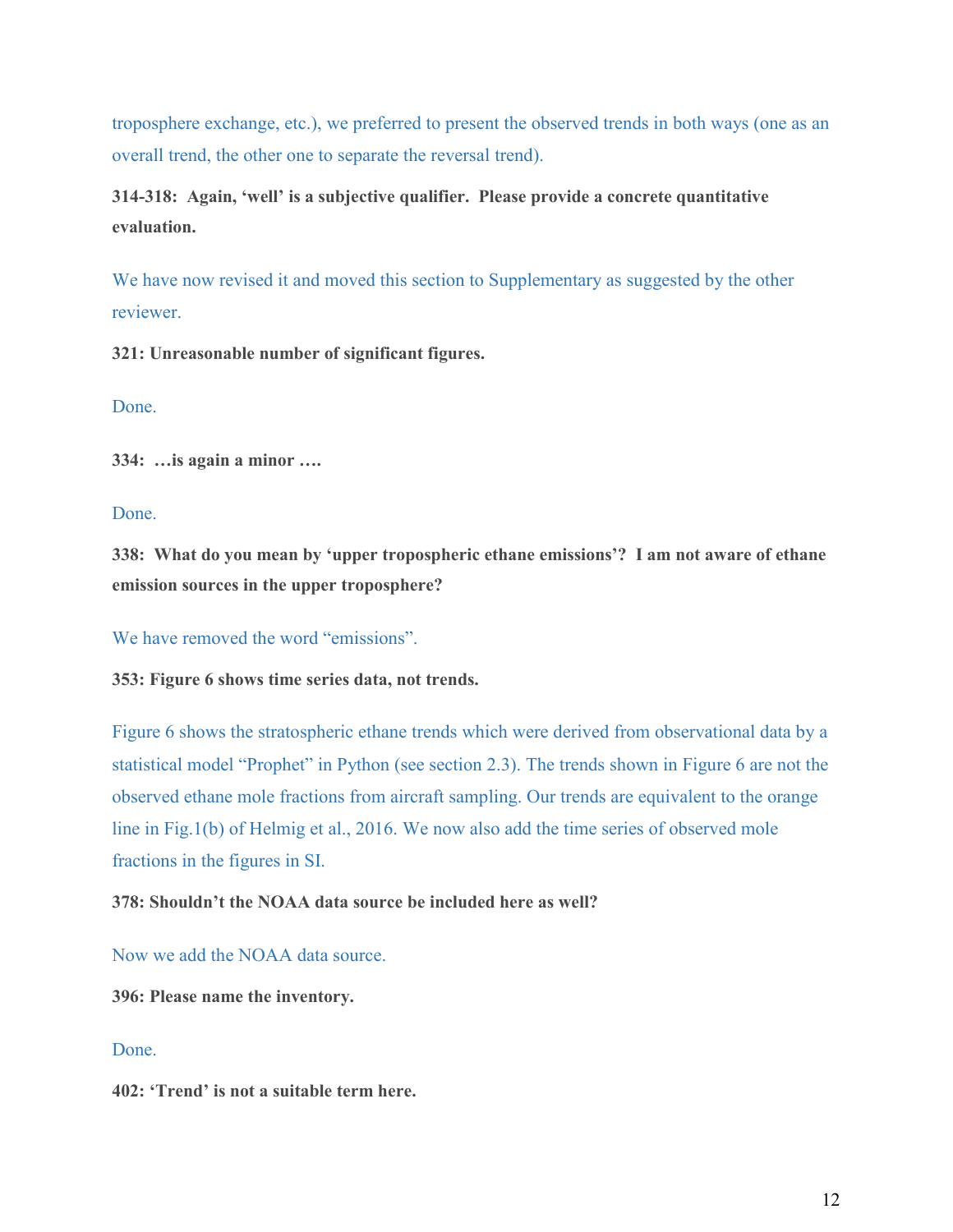troposphere exchange, etc.), we preferred to present the observed trends in both ways (one as an overall trend, the other one to separate the reversal trend).

**314-318: Again, 'well' is a subjective qualifier. Please provide a concrete quantitative evaluation.**

We have now revised it and moved this section to Supplementary as suggested by the other reviewer.

**321: Unreasonable number of significant figures.**

Done.

**334: …is again a minor ….**

Done.

**338: What do you mean by 'upper tropospheric ethane emissions'? I am not aware of ethane emission sources in the upper troposphere?**

We have removed the word "emissions".

**353: Figure 6 shows time series data, not trends.**

Figure 6 shows the stratospheric ethane trends which were derived from observational data by a statistical model "Prophet" in Python (see section 2.3). The trends shown in Figure 6 are not the observed ethane mole fractions from aircraft sampling. Our trends are equivalent to the orange line in Fig.1(b) of Helmig et al., 2016. We now also add the time series of observed mole fractions in the figures in SI.

**378: Shouldn't the NOAA data source be included here as well?**

Now we add the NOAA data source.

**396: Please name the inventory.**

## Done.

**402: 'Trend' is not a suitable term here.**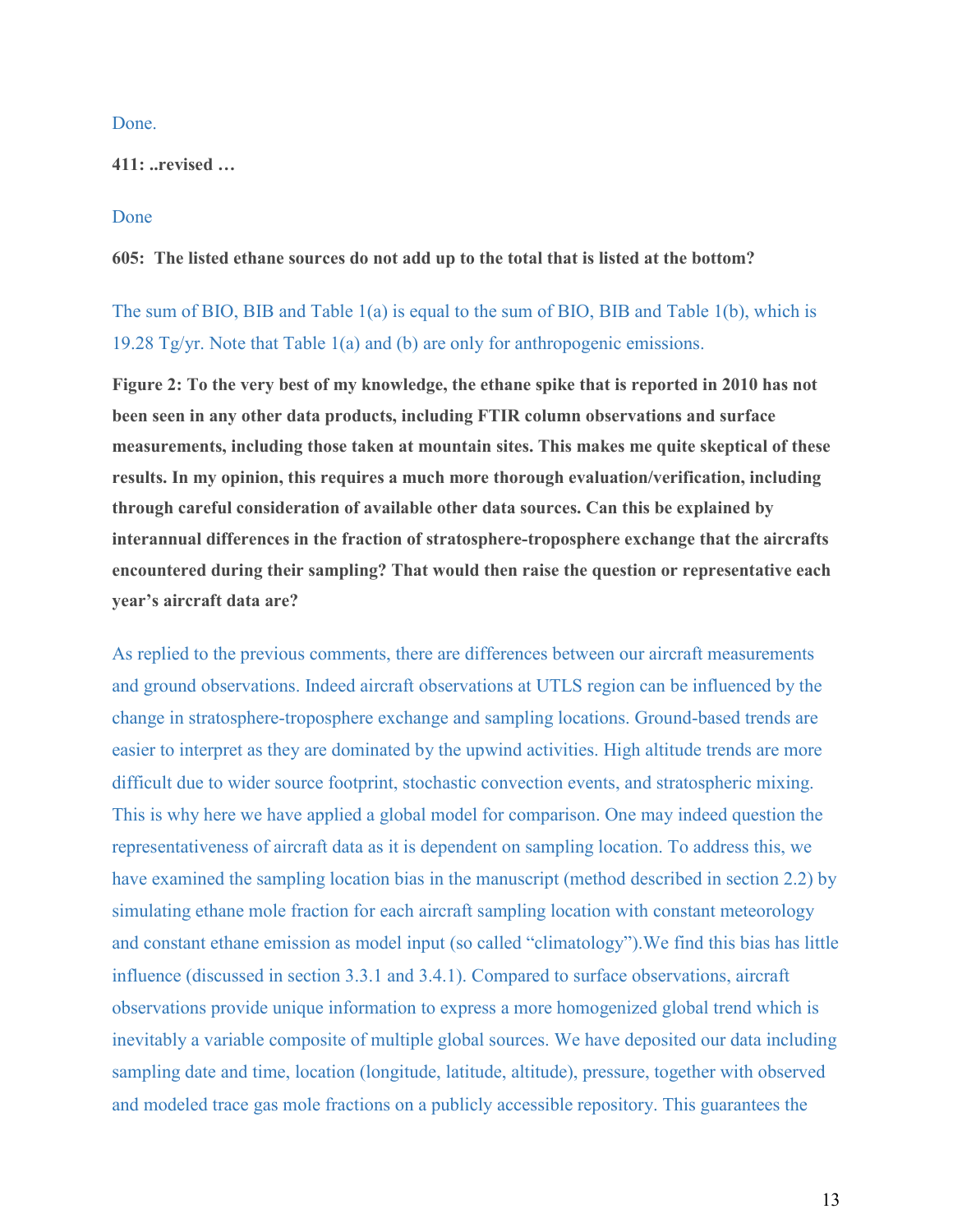Done.

**411: ..revised …**

## Done

**605: The listed ethane sources do not add up to the total that is listed at the bottom?**

The sum of BIO, BIB and Table 1(a) is equal to the sum of BIO, BIB and Table 1(b), which is 19.28 Tg/yr. Note that Table 1(a) and (b) are only for anthropogenic emissions.

**Figure 2: To the very best of my knowledge, the ethane spike that is reported in 2010 has not been seen in any other data products, including FTIR column observations and surface measurements, including those taken at mountain sites. This makes me quite skeptical of these results. In my opinion, this requires a much more thorough evaluation/verification, including through careful consideration of available other data sources. Can this be explained by interannual differences in the fraction of stratosphere-troposphere exchange that the aircrafts encountered during their sampling? That would then raise the question or representative each year's aircraft data are?**

As replied to the previous comments, there are differences between our aircraft measurements and ground observations. Indeed aircraft observations at UTLS region can be influenced by the change in stratosphere-troposphere exchange and sampling locations. Ground-based trends are easier to interpret as they are dominated by the upwind activities. High altitude trends are more difficult due to wider source footprint, stochastic convection events, and stratospheric mixing. This is why here we have applied a global model for comparison. One may indeed question the representativeness of aircraft data as it is dependent on sampling location. To address this, we have examined the sampling location bias in the manuscript (method described in section 2.2) by simulating ethane mole fraction for each aircraft sampling location with constant meteorology and constant ethane emission as model input (so called "climatology").We find this bias has little influence (discussed in section 3.3.1 and 3.4.1). Compared to surface observations, aircraft observations provide unique information to express a more homogenized global trend which is inevitably a variable composite of multiple global sources. We have deposited our data including sampling date and time, location (longitude, latitude, altitude), pressure, together with observed and modeled trace gas mole fractions on a publicly accessible repository. This guarantees the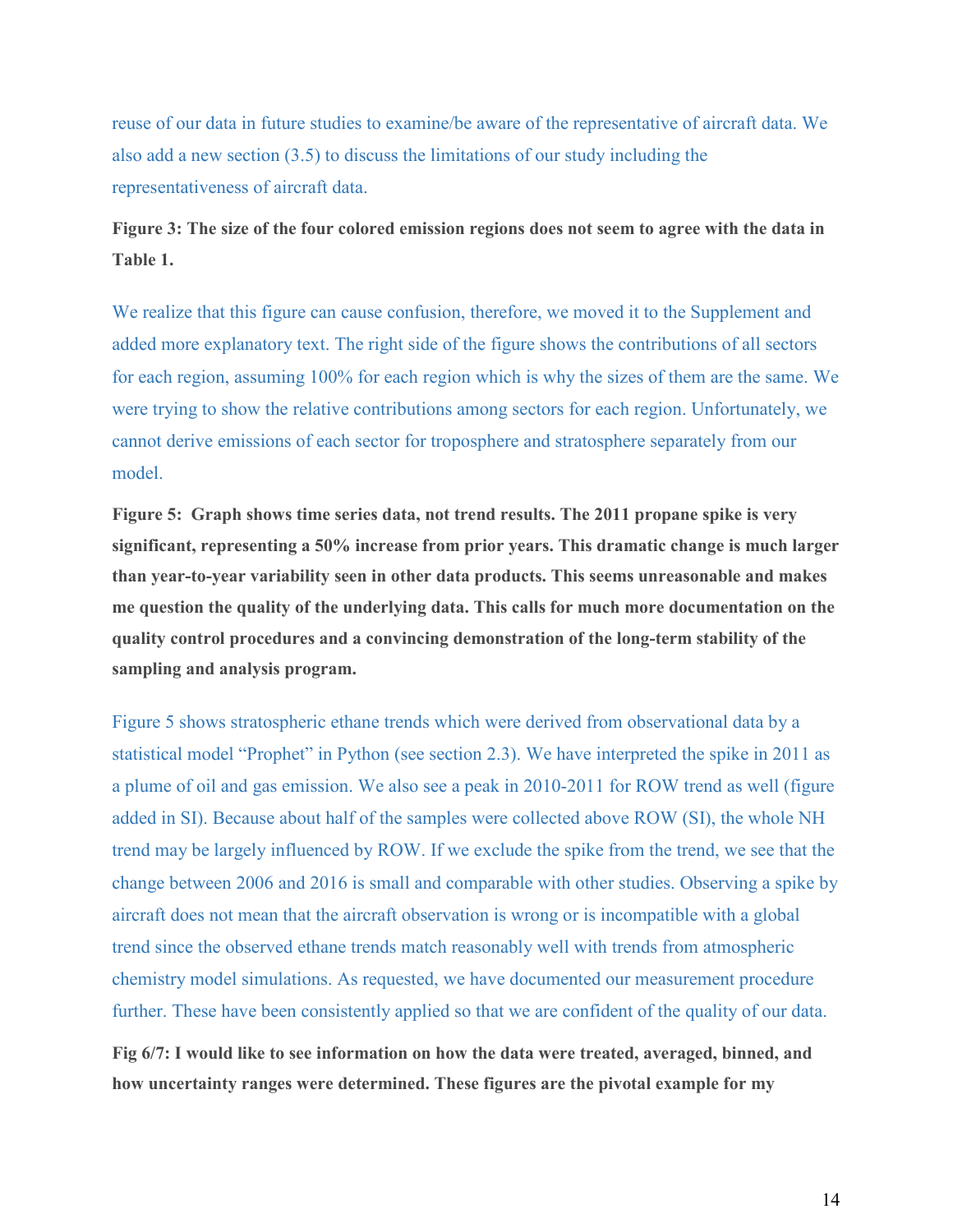reuse of our data in future studies to examine/be aware of the representative of aircraft data. We also add a new section (3.5) to discuss the limitations of our study including the representativeness of aircraft data.

# **Figure 3: The size of the four colored emission regions does not seem to agree with the data in Table 1.**

We realize that this figure can cause confusion, therefore, we moved it to the Supplement and added more explanatory text. The right side of the figure shows the contributions of all sectors for each region, assuming 100% for each region which is why the sizes of them are the same. We were trying to show the relative contributions among sectors for each region. Unfortunately, we cannot derive emissions of each sector for troposphere and stratosphere separately from our model.

**Figure 5: Graph shows time series data, not trend results. The 2011 propane spike is very significant, representing a 50% increase from prior years. This dramatic change is much larger than year-to-year variability seen in other data products. This seems unreasonable and makes me question the quality of the underlying data. This calls for much more documentation on the quality control procedures and a convincing demonstration of the long-term stability of the sampling and analysis program.**

Figure 5 shows stratospheric ethane trends which were derived from observational data by a statistical model "Prophet" in Python (see section 2.3). We have interpreted the spike in 2011 as a plume of oil and gas emission. We also see a peak in 2010-2011 for ROW trend as well (figure added in SI). Because about half of the samples were collected above ROW (SI), the whole NH trend may be largely influenced by ROW. If we exclude the spike from the trend, we see that the change between 2006 and 2016 is small and comparable with other studies. Observing a spike by aircraft does not mean that the aircraft observation is wrong or is incompatible with a global trend since the observed ethane trends match reasonably well with trends from atmospheric chemistry model simulations. As requested, we have documented our measurement procedure further. These have been consistently applied so that we are confident of the quality of our data.

**Fig 6/7: I would like to see information on how the data were treated, averaged, binned, and how uncertainty ranges were determined. These figures are the pivotal example for my**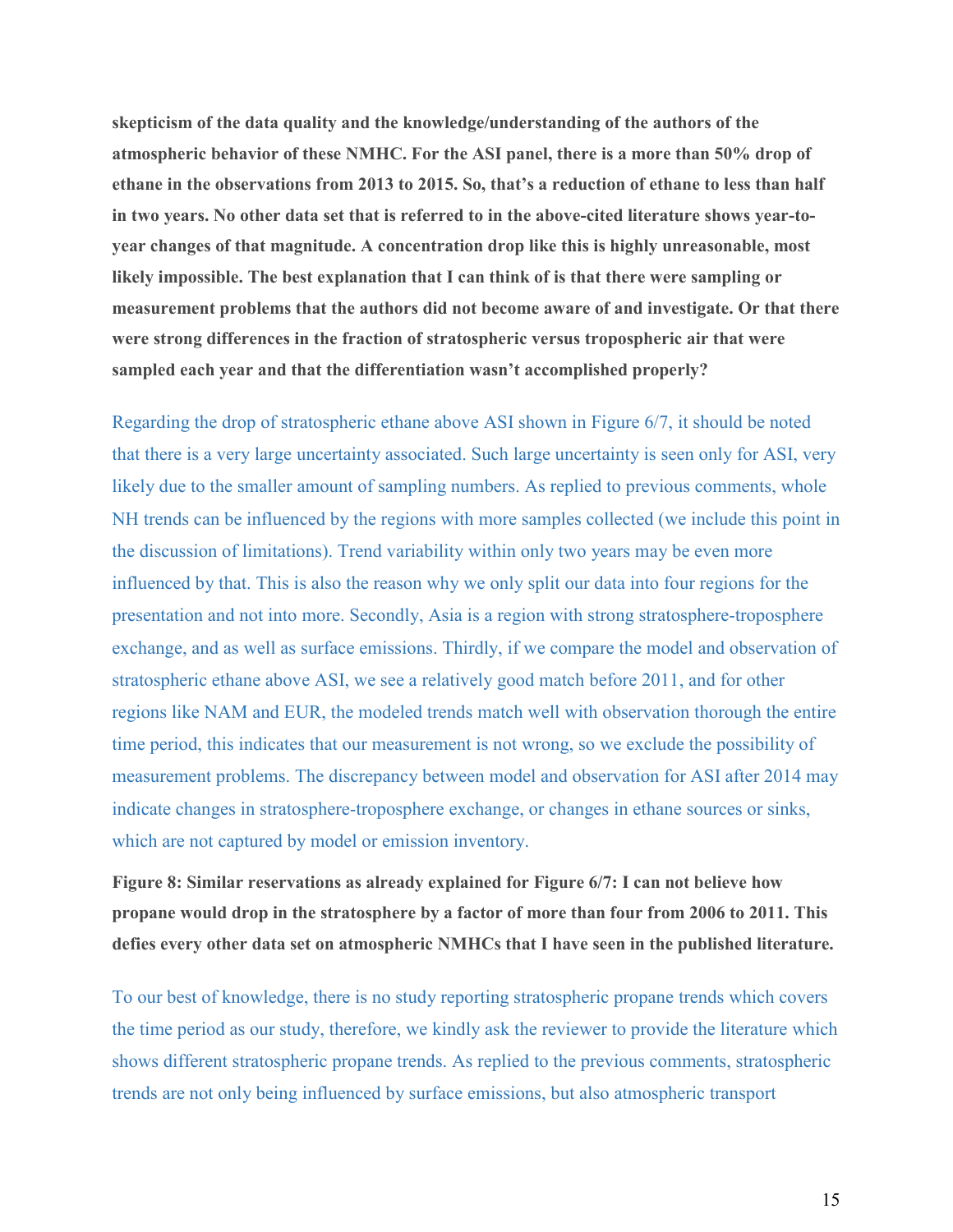**skepticism of the data quality and the knowledge/understanding of the authors of the atmospheric behavior of these NMHC. For the ASI panel, there is a more than 50% drop of ethane in the observations from 2013 to 2015. So, that's a reduction of ethane to less than half in two years. No other data set that is referred to in the above-cited literature shows year-toyear changes of that magnitude. A concentration drop like this is highly unreasonable, most likely impossible. The best explanation that I can think of is that there were sampling or measurement problems that the authors did not become aware of and investigate. Or that there were strong differences in the fraction of stratospheric versus tropospheric air that were sampled each year and that the differentiation wasn't accomplished properly?**

Regarding the drop of stratospheric ethane above ASI shown in Figure 6/7, it should be noted that there is a very large uncertainty associated. Such large uncertainty is seen only for ASI, very likely due to the smaller amount of sampling numbers. As replied to previous comments, whole NH trends can be influenced by the regions with more samples collected (we include this point in the discussion of limitations). Trend variability within only two years may be even more influenced by that. This is also the reason why we only split our data into four regions for the presentation and not into more. Secondly, Asia is a region with strong stratosphere-troposphere exchange, and as well as surface emissions. Thirdly, if we compare the model and observation of stratospheric ethane above ASI, we see a relatively good match before 2011, and for other regions like NAM and EUR, the modeled trends match well with observation thorough the entire time period, this indicates that our measurement is not wrong, so we exclude the possibility of measurement problems. The discrepancy between model and observation for ASI after 2014 may indicate changes in stratosphere-troposphere exchange, or changes in ethane sources or sinks, which are not captured by model or emission inventory.

**Figure 8: Similar reservations as already explained for Figure 6/7: I can not believe how propane would drop in the stratosphere by a factor of more than four from 2006 to 2011. This defies every other data set on atmospheric NMHCs that I have seen in the published literature.**

To our best of knowledge, there is no study reporting stratospheric propane trends which covers the time period as our study, therefore, we kindly ask the reviewer to provide the literature which shows different stratospheric propane trends. As replied to the previous comments, stratospheric trends are not only being influenced by surface emissions, but also atmospheric transport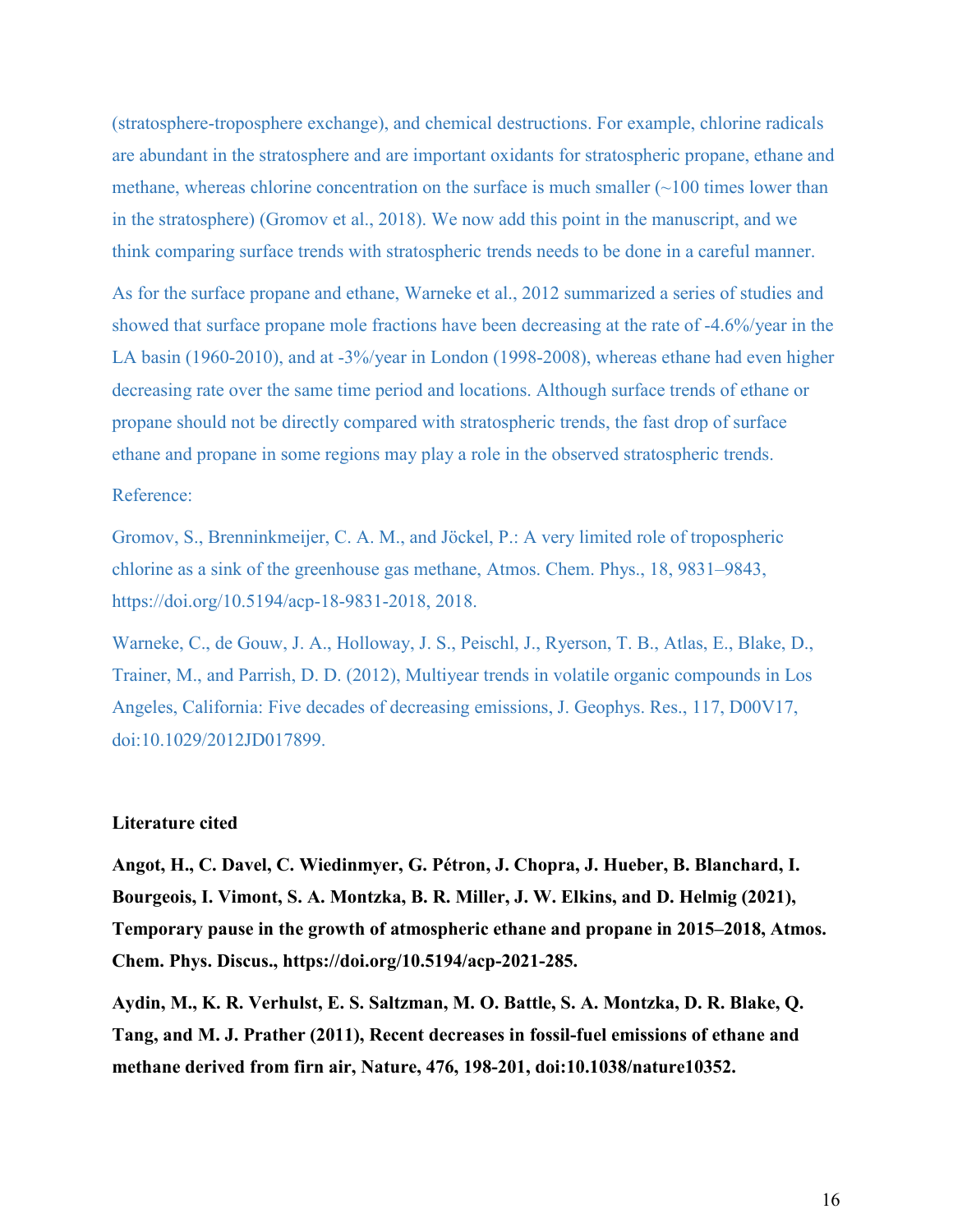(stratosphere-troposphere exchange), and chemical destructions. For example, chlorine radicals are abundant in the stratosphere and are important oxidants for stratospheric propane, ethane and methane, whereas chlorine concentration on the surface is much smaller  $(\sim 100$  times lower than in the stratosphere) (Gromov et al., 2018). We now add this point in the manuscript, and we think comparing surface trends with stratospheric trends needs to be done in a careful manner.

As for the surface propane and ethane, Warneke et al., 2012 summarized a series of studies and showed that surface propane mole fractions have been decreasing at the rate of -4.6%/year in the LA basin (1960-2010), and at -3%/year in London (1998-2008), whereas ethane had even higher decreasing rate over the same time period and locations. Although surface trends of ethane or propane should not be directly compared with stratospheric trends, the fast drop of surface ethane and propane in some regions may play a role in the observed stratospheric trends.

# Reference:

Gromov, S., Brenninkmeijer, C. A. M., and Jöckel, P.: A very limited role of tropospheric chlorine as a sink of the greenhouse gas methane, Atmos. Chem. Phys., 18, 9831–9843, https://doi.org/10.5194/acp-18-9831-2018, 2018.

Warneke, C., de Gouw, J. A., Holloway, J. S., Peischl, J., Ryerson, T. B., Atlas, E., Blake, D., Trainer, M., and Parrish, D. D. (2012), Multiyear trends in volatile organic compounds in Los Angeles, California: Five decades of decreasing emissions, J. Geophys. Res., 117, D00V17, doi:10.1029/2012JD017899.

## **Literature cited**

**Angot, H., C. Davel, C. Wiedinmyer, G. Pétron, J. Chopra, J. Hueber, B. Blanchard, I. Bourgeois, I. Vimont, S. A. Montzka, B. R. Miller, J. W. Elkins, and D. Helmig (2021), Temporary pause in the growth of atmospheric ethane and propane in 2015–2018, Atmos. Chem. Phys. Discus., https://doi.org/10.5194/acp-2021-285.**

**Aydin, M., K. R. Verhulst, E. S. Saltzman, M. O. Battle, S. A. Montzka, D. R. Blake, Q. Tang, and M. J. Prather (2011), Recent decreases in fossil-fuel emissions of ethane and methane derived from firn air, Nature, 476, 198-201, doi:10.1038/nature10352.**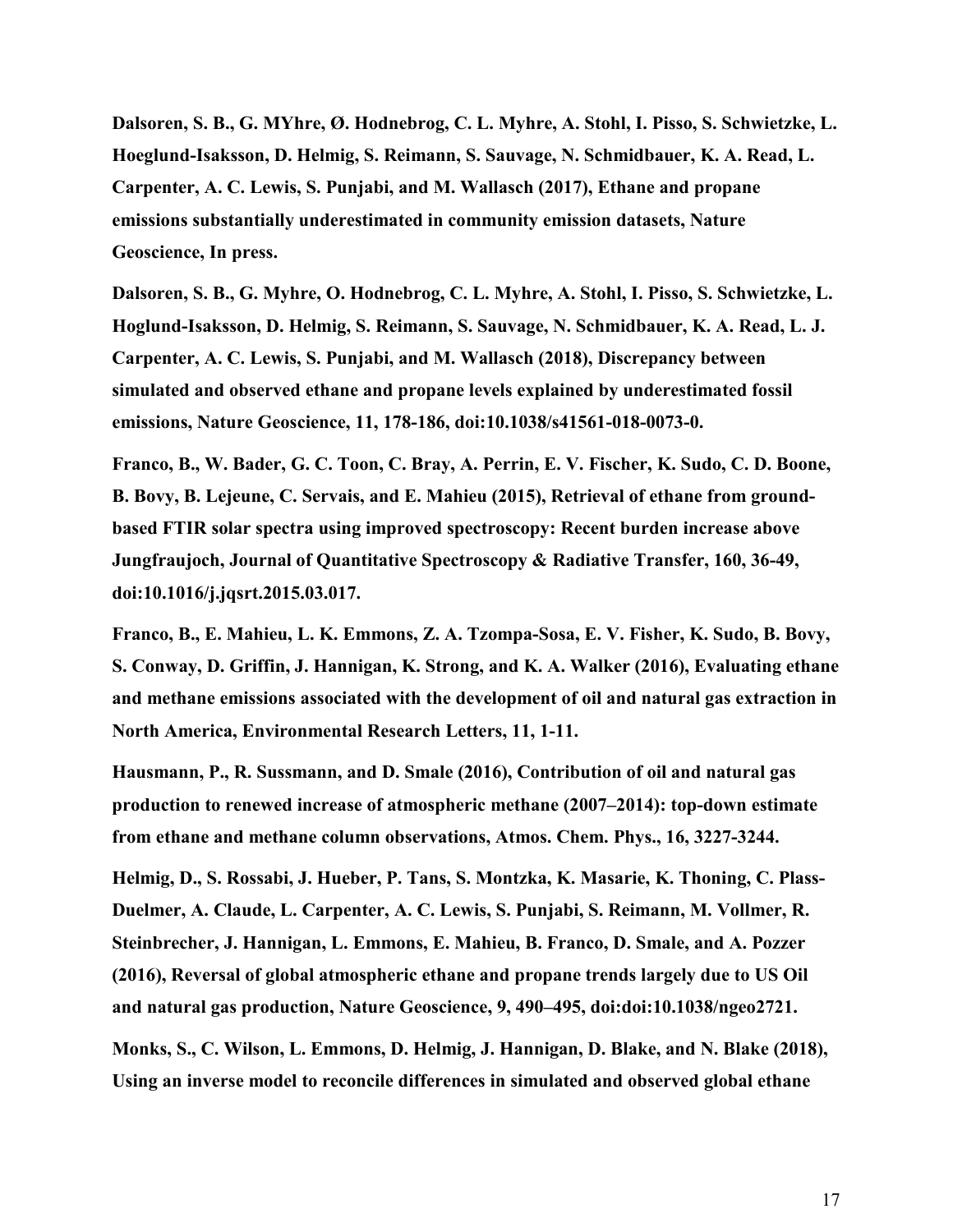**Dalsoren, S. B., G. MYhre, Ø. Hodnebrog, C. L. Myhre, A. Stohl, I. Pisso, S. Schwietzke, L. Hoeglund-Isaksson, D. Helmig, S. Reimann, S. Sauvage, N. Schmidbauer, K. A. Read, L. Carpenter, A. C. Lewis, S. Punjabi, and M. Wallasch (2017), Ethane and propane emissions substantially underestimated in community emission datasets, Nature Geoscience, In press.**

**Dalsoren, S. B., G. Myhre, O. Hodnebrog, C. L. Myhre, A. Stohl, I. Pisso, S. Schwietzke, L. Hoglund-Isaksson, D. Helmig, S. Reimann, S. Sauvage, N. Schmidbauer, K. A. Read, L. J. Carpenter, A. C. Lewis, S. Punjabi, and M. Wallasch (2018), Discrepancy between simulated and observed ethane and propane levels explained by underestimated fossil emissions, Nature Geoscience, 11, 178-186, doi:10.1038/s41561-018-0073-0.**

**Franco, B., W. Bader, G. C. Toon, C. Bray, A. Perrin, E. V. Fischer, K. Sudo, C. D. Boone, B. Bovy, B. Lejeune, C. Servais, and E. Mahieu (2015), Retrieval of ethane from groundbased FTIR solar spectra using improved spectroscopy: Recent burden increase above Jungfraujoch, Journal of Quantitative Spectroscopy & Radiative Transfer, 160, 36-49, doi:10.1016/j.jqsrt.2015.03.017.**

**Franco, B., E. Mahieu, L. K. Emmons, Z. A. Tzompa-Sosa, E. V. Fisher, K. Sudo, B. Bovy, S. Conway, D. Griffin, J. Hannigan, K. Strong, and K. A. Walker (2016), Evaluating ethane and methane emissions associated with the development of oil and natural gas extraction in North America, Environmental Research Letters, 11, 1-11.**

**Hausmann, P., R. Sussmann, and D. Smale (2016), Contribution of oil and natural gas production to renewed increase of atmospheric methane (2007–2014): top-down estimate from ethane and methane column observations, Atmos. Chem. Phys., 16, 3227-3244.**

**Helmig, D., S. Rossabi, J. Hueber, P. Tans, S. Montzka, K. Masarie, K. Thoning, C. Plass-Duelmer, A. Claude, L. Carpenter, A. C. Lewis, S. Punjabi, S. Reimann, M. Vollmer, R. Steinbrecher, J. Hannigan, L. Emmons, E. Mahieu, B. Franco, D. Smale, and A. Pozzer (2016), Reversal of global atmospheric ethane and propane trends largely due to US Oil and natural gas production, Nature Geoscience, 9, 490–495, doi:doi:10.1038/ngeo2721.**

**Monks, S., C. Wilson, L. Emmons, D. Helmig, J. Hannigan, D. Blake, and N. Blake (2018), Using an inverse model to reconcile differences in simulated and observed global ethane**